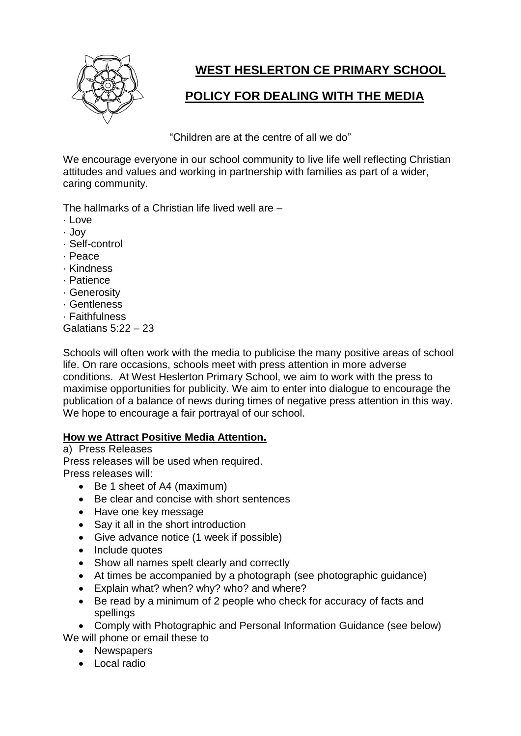

# **WEST HESLERTON CE PRIMARY SCHOOL**

## **POLICY FOR DEALING WITH THE MEDIA**

"Children are at the centre of all we do"

We encourage everyone in our school community to live life well reflecting Christian attitudes and values and working in partnership with families as part of a wider, caring community.

The hallmarks of a Christian life lived well are –

- $\cdot$  Love
- · Joy
- · Self-control
- · Peace
- · Kindness
- · Patience
- · Generosity
- · Gentleness
- · Faithfulness

Galatians 5:22 – 23

Schools will often work with the media to publicise the many positive areas of school life. On rare occasions, schools meet with press attention in more adverse conditions. At West Heslerton Primary School, we aim to work with the press to maximise opportunities for publicity. We aim to enter into dialogue to encourage the publication of a balance of news during times of negative press attention in this way. We hope to encourage a fair portrayal of our school.

## **How we Attract Positive Media Attention.**

a) Press Releases

Press releases will be used when required. Press releases will:

- Be 1 sheet of A4 (maximum)
- Be clear and concise with short sentences
- Have one key message
- Say it all in the short introduction
- Give advance notice (1 week if possible)
- Include quotes
- Show all names spelt clearly and correctly
- At times be accompanied by a photograph (see photographic guidance)
- Explain what? when? why? who? and where?
- Be read by a minimum of 2 people who check for accuracy of facts and spellings

• Comply with Photographic and Personal Information Guidance (see below) We will phone or email these to

- Newspapers
- Local radio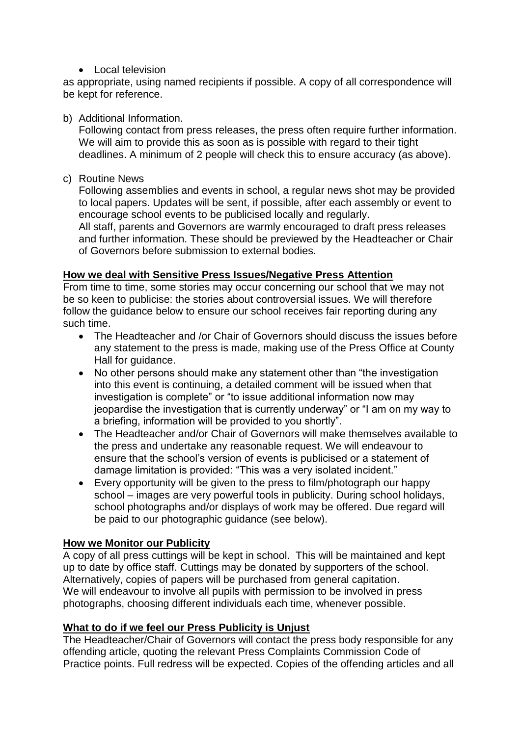• Local television

as appropriate, using named recipients if possible. A copy of all correspondence will be kept for reference.

#### b) Additional Information.

Following contact from press releases, the press often require further information. We will aim to provide this as soon as is possible with regard to their tight deadlines. A minimum of 2 people will check this to ensure accuracy (as above).

c) Routine News

Following assemblies and events in school, a regular news shot may be provided to local papers. Updates will be sent, if possible, after each assembly or event to encourage school events to be publicised locally and regularly. All staff, parents and Governors are warmly encouraged to draft press releases and further information. These should be previewed by the Headteacher or Chair of Governors before submission to external bodies.

## **How we deal with Sensitive Press Issues/Negative Press Attention**

From time to time, some stories may occur concerning our school that we may not be so keen to publicise: the stories about controversial issues. We will therefore follow the guidance below to ensure our school receives fair reporting during any such time.

- The Headteacher and /or Chair of Governors should discuss the issues before any statement to the press is made, making use of the Press Office at County Hall for guidance.
- No other persons should make any statement other than "the investigation into this event is continuing, a detailed comment will be issued when that investigation is complete" or "to issue additional information now may jeopardise the investigation that is currently underway" or "I am on my way to a briefing, information will be provided to you shortly".
- The Headteacher and/or Chair of Governors will make themselves available to the press and undertake any reasonable request. We will endeavour to ensure that the school's version of events is publicised or a statement of damage limitation is provided: "This was a very isolated incident."
- Every opportunity will be given to the press to film/photograph our happy school – images are very powerful tools in publicity. During school holidays, school photographs and/or displays of work may be offered. Due regard will be paid to our photographic guidance (see below).

## **How we Monitor our Publicity**

A copy of all press cuttings will be kept in school. This will be maintained and kept up to date by office staff. Cuttings may be donated by supporters of the school. Alternatively, copies of papers will be purchased from general capitation. We will endeavour to involve all pupils with permission to be involved in press photographs, choosing different individuals each time, whenever possible.

## **What to do if we feel our Press Publicity is Unjust**

The Headteacher/Chair of Governors will contact the press body responsible for any offending article, quoting the relevant Press Complaints Commission Code of Practice points. Full redress will be expected. Copies of the offending articles and all